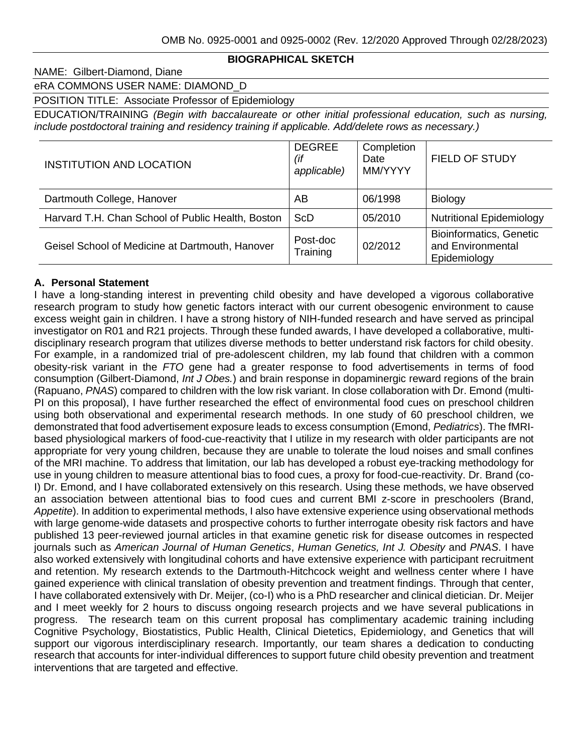## **BIOGRAPHICAL SKETCH**

## NAME: Gilbert-Diamond, Diane

eRA COMMONS USER NAME: DIAMOND\_D

## POSITION TITLE: Associate Professor of Epidemiology

EDUCATION/TRAINING *(Begin with baccalaureate or other initial professional education, such as nursing, include postdoctoral training and residency training if applicable. Add/delete rows as necessary.)*

| <b>INSTITUTION AND LOCATION</b>                   | <b>DEGREE</b><br>(if<br>applicable) | Completion<br>Date<br>MM/YYYY | FIELD OF STUDY                                                      |
|---------------------------------------------------|-------------------------------------|-------------------------------|---------------------------------------------------------------------|
| Dartmouth College, Hanover                        | AΒ                                  | 06/1998                       | Biology                                                             |
| Harvard T.H. Chan School of Public Health, Boston | <b>ScD</b>                          | 05/2010                       | <b>Nutritional Epidemiology</b>                                     |
| Geisel School of Medicine at Dartmouth, Hanover   | Post-doc<br>Training                | 02/2012                       | <b>Bioinformatics, Genetic</b><br>and Environmental<br>Epidemiology |

### **A. Personal Statement**

I have a long-standing interest in preventing child obesity and have developed a vigorous collaborative research program to study how genetic factors interact with our current obesogenic environment to cause excess weight gain in children. I have a strong history of NIH-funded research and have served as principal investigator on R01 and R21 projects. Through these funded awards, I have developed a collaborative, multidisciplinary research program that utilizes diverse methods to better understand risk factors for child obesity. For example, in a randomized trial of pre-adolescent children, my lab found that children with a common obesity-risk variant in the *FTO* gene had a greater response to food advertisements in terms of food consumption (Gilbert-Diamond, *Int J Obes.*) and brain response in dopaminergic reward regions of the brain (Rapuano, *PNAS*) compared to children with the low risk variant. In close collaboration with Dr. Emond (multi-PI on this proposal), I have further researched the effect of environmental food cues on preschool children using both observational and experimental research methods. In one study of 60 preschool children, we demonstrated that food advertisement exposure leads to excess consumption (Emond, *Pediatrics*). The fMRIbased physiological markers of food-cue-reactivity that I utilize in my research with older participants are not appropriate for very young children, because they are unable to tolerate the loud noises and small confines of the MRI machine. To address that limitation, our lab has developed a robust eye-tracking methodology for use in young children to measure attentional bias to food cues, a proxy for food-cue-reactivity. Dr. Brand (co-I) Dr. Emond, and I have collaborated extensively on this research. Using these methods, we have observed an association between attentional bias to food cues and current BMI z-score in preschoolers (Brand, *Appetite*). In addition to experimental methods, I also have extensive experience using observational methods with large genome-wide datasets and prospective cohorts to further interrogate obesity risk factors and have published 13 peer-reviewed journal articles in that examine genetic risk for disease outcomes in respected journals such as *American Journal of Human Genetics*, *Human Genetics, Int J. Obesity* and *PNAS*. I have also worked extensively with longitudinal cohorts and have extensive experience with participant recruitment and retention. My research extends to the Dartmouth-Hitchcock weight and wellness center where I have gained experience with clinical translation of obesity prevention and treatment findings. Through that center, I have collaborated extensively with Dr. Meijer, (co-I) who is a PhD researcher and clinical dietician. Dr. Meijer and I meet weekly for 2 hours to discuss ongoing research projects and we have several publications in progress. The research team on this current proposal has complimentary academic training including Cognitive Psychology, Biostatistics, Public Health, Clinical Dietetics, Epidemiology, and Genetics that will support our vigorous interdisciplinary research. Importantly, our team shares a dedication to conducting research that accounts for inter-individual differences to support future child obesity prevention and treatment interventions that are targeted and effective.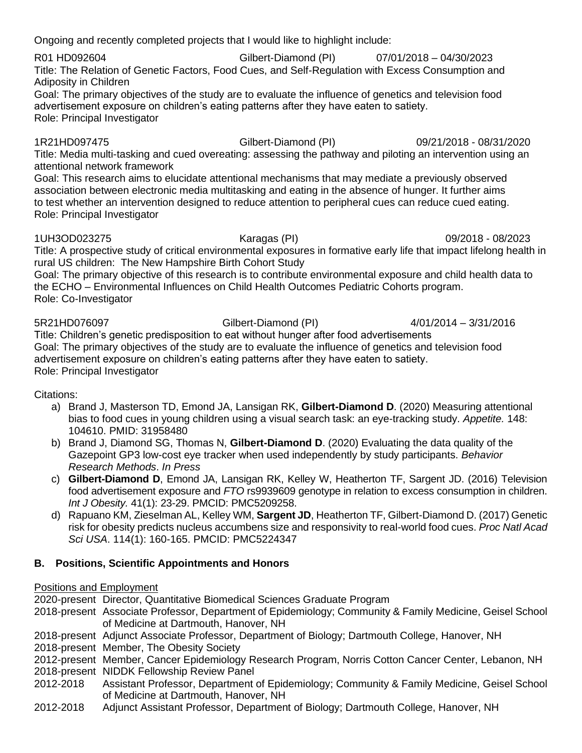Ongoing and recently completed projects that I would like to highlight include:

R01 HD092604 Gilbert-Diamond (PI) 07/01/2018 – 04/30/2023 Title: The Relation of Genetic Factors, Food Cues, and Self-Regulation with Excess Consumption and Adiposity in Children

Goal: The primary objectives of the study are to evaluate the influence of genetics and television food advertisement exposure on children's eating patterns after they have eaten to satiety. Role: Principal Investigator

1R21HD097475 Gilbert-Diamond (PI) 09/21/2018 - 08/31/2020

Title: Media multi-tasking and cued overeating: assessing the pathway and piloting an intervention using an attentional network framework

Goal: This research aims to elucidate attentional mechanisms that may mediate a previously observed association between electronic media multitasking and eating in the absence of hunger. It further aims to test whether an intervention designed to reduce attention to peripheral cues can reduce cued eating. Role: Principal Investigator

1UH3OD023275 Karagas (PI) 09/2018 - 08/2023

Title: A prospective study of critical environmental exposures in formative early life that impact lifelong health in rural US children: The New Hampshire Birth Cohort Study

Goal: The primary objective of this research is to contribute environmental exposure and child health data to the ECHO – Environmental Influences on Child Health Outcomes Pediatric Cohorts program. Role: Co-Investigator

5R21HD076097 Gilbert-Diamond (PI) 4/01/2014 – 3/31/2016 Title: Children's genetic predisposition to eat without hunger after food advertisements Goal: The primary objectives of the study are to evaluate the influence of genetics and television food advertisement exposure on children's eating patterns after they have eaten to satiety. Role: Principal Investigator

Citations:

- a) Brand J, Masterson TD, Emond JA, Lansigan RK, **Gilbert-Diamond D**. (2020) Measuring attentional bias to food cues in young children using a visual search task: an eye-tracking study. *Appetite.* 148: 104610. PMID: 31958480
- b) Brand J, Diamond SG, Thomas N, **Gilbert-Diamond D**. (2020) Evaluating the data quality of the Gazepoint GP3 low-cost eye tracker when used independently by study participants. *Behavior Research Methods*. *In Press*
- c) **Gilbert-Diamond D**, Emond JA, Lansigan RK, Kelley W, Heatherton TF, Sargent JD. (2016) Television food advertisement exposure and *FTO* rs9939609 genotype in relation to excess consumption in children. *Int J Obesity.* 41(1): 23-29. PMCID: PMC5209258.
- d) Rapuano KM, Zieselman AL, Kelley WM, **Sargent JD**, Heatherton TF, Gilbert-Diamond D. (2017) Genetic risk for obesity predicts nucleus accumbens size and responsivity to real-world food cues. *Proc Natl Acad Sci USA*. 114(1): 160-165. PMCID: PMC5224347

# **B. Positions, Scientific Appointments and Honors**

# Positions and Employment

2020-present Director, Quantitative Biomedical Sciences Graduate Program

- 2018-present Associate Professor, Department of Epidemiology; Community & Family Medicine, Geisel School of Medicine at Dartmouth, Hanover, NH
- 2018-present Adjunct Associate Professor, Department of Biology; Dartmouth College, Hanover, NH
- 2018-present Member, The Obesity Society
- 2012-present Member, Cancer Epidemiology Research Program, Norris Cotton Cancer Center, Lebanon, NH
- 2018-present NIDDK Fellowship Review Panel
- 2012-2018 Assistant Professor, Department of Epidemiology; Community & Family Medicine, Geisel School of Medicine at Dartmouth, Hanover, NH
- 2012-2018 Adjunct Assistant Professor, Department of Biology; Dartmouth College, Hanover, NH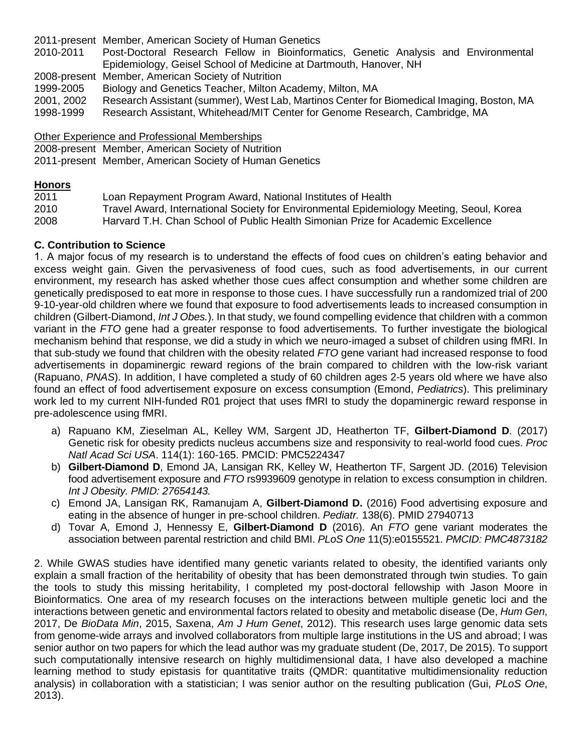2011-present Member, American Society of Human Genetics 2010-2011 Post-Doctoral Research Fellow in Bioinformatics, Genetic Analysis and Environmental Epidemiology, Geisel School of Medicine at Dartmouth, Hanover, NH 2008-present Member, American Society of Nutrition 1999-2005 Biology and Genetics Teacher, Milton Academy, Milton, MA<br>2001. 2002 Research Assistant (summer). West Lab. Martinos Center for Research Assistant (summer), West Lab, Martinos Center for Biomedical Imaging, Boston, MA 1998-1999 Research Assistant, Whitehead/MIT Center for Genome Research, Cambridge, MA

Other Experience and Professional Memberships 2008-present Member, American Society of Nutrition 2011-present Member, American Society of Human Genetics

## **Honors**

2011 Loan Repayment Program Award, National Institutes of Health 2010 Travel Award, International Society for Environmental Epidemiology Meeting, Seoul, Korea 2008 Harvard T.H. Chan School of Public Health Simonian Prize for Academic Excellence

# **C. Contribution to Science**

1. A major focus of my research is to understand the effects of food cues on children's eating behavior and excess weight gain. Given the pervasiveness of food cues, such as food advertisements, in our current environment, my research has asked whether those cues affect consumption and whether some children are genetically predisposed to eat more in response to those cues. I have successfully run a randomized trial of 200 9-10-year-old children where we found that exposure to food advertisements leads to increased consumption in children (Gilbert-Diamond, *Int J Obes.*). In that study, we found compelling evidence that children with a common variant in the *FTO* gene had a greater response to food advertisements. To further investigate the biological mechanism behind that response, we did a study in which we neuro-imaged a subset of children using fMRI. In that sub-study we found that children with the obesity related *FTO* gene variant had increased response to food advertisements in dopaminergic reward regions of the brain compared to children with the low-risk variant (Rapuano, *PNAS*). In addition, I have completed a study of 60 children ages 2-5 years old where we have also found an effect of food advertisement exposure on excess consumption (Emond, *Pediatrics*). This preliminary work led to my current NIH-funded R01 project that uses fMRI to study the dopaminergic reward response in pre-adolescence using fMRI.

- a) Rapuano KM, Zieselman AL, Kelley WM, Sargent JD, Heatherton TF, **Gilbert-Diamond D**. (2017) Genetic risk for obesity predicts nucleus accumbens size and responsivity to real-world food cues. *Proc Natl Acad Sci USA*. 114(1): 160-165. PMCID: PMC5224347
- b) **Gilbert-Diamond D**, Emond JA, Lansigan RK, Kelley W, Heatherton TF, Sargent JD. (2016) Television food advertisement exposure and *FTO* rs9939609 genotype in relation to excess consumption in children. *Int J Obesity. PMID: 27654143.*
- c) Emond JA, Lansigan RK, Ramanujam A, **Gilbert-Diamond D.** (2016) Food advertising exposure and eating in the absence of hunger in pre-school children. *Pediatr.* 138(6). PMID 27940713
- d) Tovar A, Emond J, Hennessy E, **Gilbert-Diamond D** (2016). An *FTO* gene variant moderates the association between parental restriction and child BMI. *PLoS One* 11(5):e0155521. *PMCID: PMC4873182*

2. While GWAS studies have identified many genetic variants related to obesity, the identified variants only explain a small fraction of the heritability of obesity that has been demonstrated through twin studies. To gain the tools to study this missing heritability, I completed my post-doctoral fellowship with Jason Moore in Bioinformatics. One area of my research focuses on the interactions between multiple genetic loci and the interactions between genetic and environmental factors related to obesity and metabolic disease (De, *Hum Gen*, 2017, De *BioData Min*, 2015, Saxena, *Am J Hum Genet*, 2012). This research uses large genomic data sets from genome-wide arrays and involved collaborators from multiple large institutions in the US and abroad; I was senior author on two papers for which the lead author was my graduate student (De, 2017, De 2015). To support such computationally intensive research on highly multidimensional data, I have also developed a machine learning method to study epistasis for quantitative traits (QMDR: quantitative multidimensionality reduction analysis) in collaboration with a statistician; I was senior author on the resulting publication (Gui, *PLoS One*, 2013).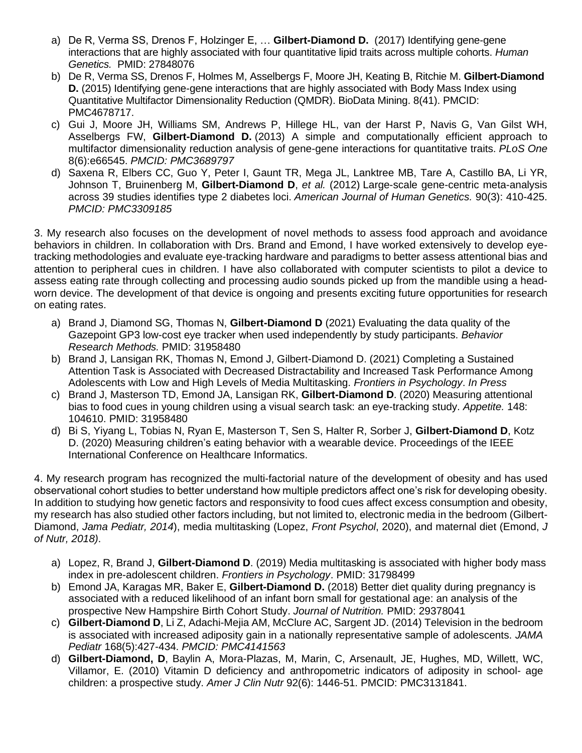- a) De R, Verma SS, Drenos F, Holzinger E, … **Gilbert-Diamond D.** (2017) Identifying gene-gene interactions that are highly associated with four quantitative lipid traits across multiple cohorts. *Human Genetics.* PMID: 27848076
- b) De R, Verma SS, Drenos F, Holmes M, Asselbergs F, Moore JH, Keating B, Ritchie M. **Gilbert-Diamond D.** (2015) Identifying gene-gene interactions that are highly associated with Body Mass Index using Quantitative Multifactor Dimensionality Reduction (QMDR). BioData Mining. 8(41). PMCID: PMC4678717.
- c) Gui J, Moore JH, Williams SM, Andrews P, Hillege HL, van der Harst P, Navis G, Van Gilst WH, Asselbergs FW, **Gilbert-Diamond D.** (2013) A simple and [computationally](http://www.ncbi.nlm.nih.gov/pubmed/23805232) efficient approach to multifactor [dimensionality](http://www.ncbi.nlm.nih.gov/pubmed/23805232) reduction analysis of gene-gene interactions for quantitative traits. *PLoS One* 8(6):e66545. *PMCID: PMC3689797*
- d) Saxena R, Elbers CC, Guo Y, Peter I, Gaunt TR, Mega JL, Lanktree MB, Tare A, Castillo BA, Li YR, Johnson T, Bruinenberg M, **Gilbert-Diamond D**, *et al.* (2012) Large-scale gene-centric [meta-analysis](http://www.ncbi.nlm.nih.gov/pubmed/22325160) across 39 studies [identifies](http://www.ncbi.nlm.nih.gov/pubmed/22325160) type 2 diabetes loci. *American Journal of Human Genetics.* 90(3): 410-425. *PMCID: PMC3309185*

3. My research also focuses on the development of novel methods to assess food approach and avoidance behaviors in children. In collaboration with Drs. Brand and Emond, I have worked extensively to develop eyetracking methodologies and evaluate eye-tracking hardware and paradigms to better assess attentional bias and attention to peripheral cues in children. I have also collaborated with computer scientists to pilot a device to assess eating rate through collecting and processing audio sounds picked up from the mandible using a headworn device. The development of that device is ongoing and presents exciting future opportunities for research on eating rates.

- a) Brand J, Diamond SG, Thomas N, **Gilbert-Diamond D** (2021) Evaluating the data quality of the Gazepoint GP3 low-cost eye tracker when used independently by study participants. *Behavior Research Methods.* PMID: 31958480
- b) Brand J, Lansigan RK, Thomas N, Emond J, Gilbert-Diamond D. (2021) Completing a Sustained Attention Task is Associated with Decreased Distractability and Increased Task Performance Among Adolescents with Low and High Levels of Media Multitasking. *Frontiers in Psychology*. *In Press*
- c) Brand J, Masterson TD, Emond JA, Lansigan RK, **Gilbert-Diamond D**. (2020) Measuring attentional bias to food cues in young children using a visual search task: an eye-tracking study. *Appetite.* 148: 104610. PMID: 31958480
- d) Bi S, Yiyang L, Tobias N, Ryan E, Masterson T, Sen S, Halter R, Sorber J, **Gilbert-Diamond D**, Kotz D. (2020) Measuring children's eating behavior with a wearable device. Proceedings of the IEEE International Conference on Healthcare Informatics.

4. My research program has recognized the multi-factorial nature of the development of obesity and has used observational cohort studies to better understand how multiple predictors affect one's risk for developing obesity. In addition to studying how genetic factors and responsivity to food cues affect excess consumption and obesity, my research has also studied other factors including, but not limited to, electronic media in the bedroom (Gilbert-Diamond, *Jama Pediatr, 2014*), media multitasking (Lopez, *Front Psychol*, 2020), and maternal diet (Emond, *J of Nutr, 2018)*.

- a) Lopez, R, Brand J, **Gilbert-Diamond D**. (2019) Media multitasking is associated with higher body mass index in pre-adolescent children. *Frontiers in Psychology*. PMID: 31798499
- b) Emond JA, Karagas MR, Baker E, **Gilbert-Diamond D.** (2018) Better diet quality during pregnancy is associated with a reduced likelihood of an infant born small for gestational age: an analysis of the prospective New Hampshire Birth Cohort Study. *Journal of Nutrition.* PMID: 29378041
- c) **Gilbert-Diamond D**, Li Z, Adachi-Mejia AM, McClure AC, Sargent JD. (2014) Television in the bedroom is associated with increased adiposity gain in a nationally representative sample of adolescents. *JAMA Pediatr* 168(5):427-434. *PMCID: PMC4141563*
- d) **Gilbert-Diamond, D**, Baylin A, Mora-Plazas, M, Marin, C, Arsenault, JE, Hughes, MD, Willett, WC, Villamor, E. (2010) Vitamin D deficiency and anthropometric indicators of adiposity in school- age children: a prospective study. *Amer J Clin Nutr* 92(6): 1446-51. PMCID: PMC3131841.